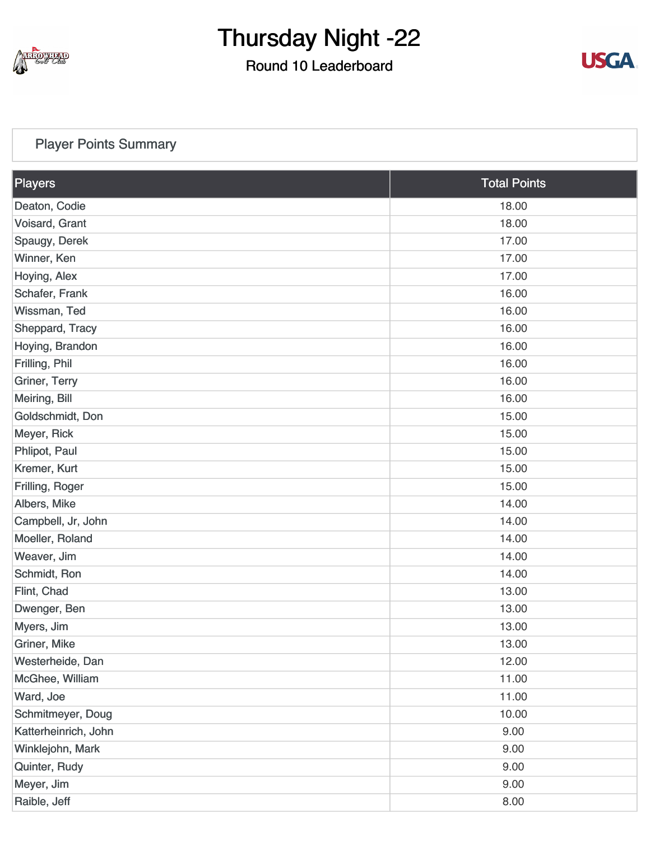

### Round 10 Leaderboard



#### [Player Points Summary](https://static.golfgenius.com/v2tournaments/total_points?league_id=8410389304542504110&round_id=8410393927537927652)

| Players                      | <b>Total Points</b> |  |
|------------------------------|---------------------|--|
| Deaton, Codie                | 18.00               |  |
| Voisard, Grant               | 18.00               |  |
| Spaugy, Derek                | 17.00               |  |
| Winner, Ken                  | 17.00               |  |
| Hoying, Alex                 | 17.00               |  |
| Schafer, Frank               | 16.00               |  |
| Wissman, Ted                 | 16.00               |  |
| Sheppard, Tracy              | 16.00               |  |
| Hoying, Brandon              | 16.00               |  |
| Frilling, Phil               | 16.00               |  |
| Griner, Terry                | 16.00               |  |
| Meiring, Bill                | 16.00               |  |
| Goldschmidt, Don             | 15.00               |  |
| Meyer, Rick                  | 15.00               |  |
| Phlipot, Paul                | 15.00               |  |
| Kremer, Kurt                 | 15.00               |  |
| Frilling, Roger              | 15.00               |  |
| Albers, Mike                 | 14.00               |  |
| Campbell, Jr, John           | 14.00               |  |
| Moeller, Roland              | 14.00               |  |
| Weaver, Jim                  | 14.00               |  |
| Schmidt, Ron                 | 14.00               |  |
| Flint, Chad                  | 13.00               |  |
| Dwenger, Ben                 | 13.00               |  |
| Myers, Jim                   | 13.00               |  |
| Griner, Mike                 | 13.00               |  |
| Westerheide, Dan             | 12.00               |  |
| McGhee, William              | 11.00               |  |
| Ward, Joe                    | 11.00               |  |
| Schmitmeyer, Doug<br>10.00   |                     |  |
| Katterheinrich, John<br>9.00 |                     |  |
| Winklejohn, Mark<br>9.00     |                     |  |
| Quinter, Rudy                | 9.00                |  |
| Meyer, Jim                   | 9.00                |  |
| Raible, Jeff                 | 8.00                |  |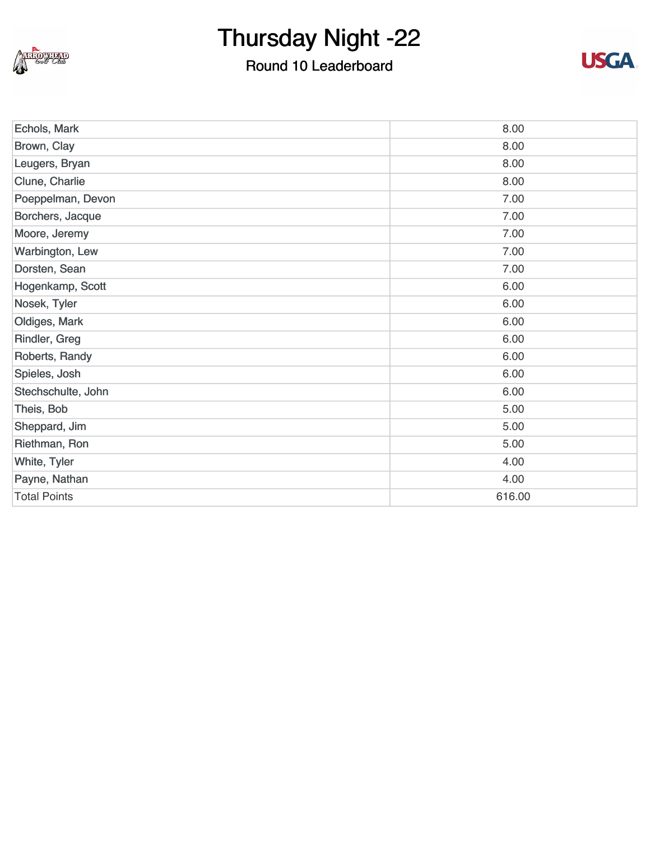

### Round 10 Leaderboard



| Echols, Mark        | 8.00   |
|---------------------|--------|
| Brown, Clay         | 8.00   |
| Leugers, Bryan      | 8.00   |
| Clune, Charlie      | 8.00   |
| Poeppelman, Devon   | 7.00   |
| Borchers, Jacque    | 7.00   |
| Moore, Jeremy       | 7.00   |
| Warbington, Lew     | 7.00   |
| Dorsten, Sean       | 7.00   |
| Hogenkamp, Scott    | 6.00   |
| Nosek, Tyler        | 6.00   |
| Oldiges, Mark       | 6.00   |
| Rindler, Greg       | 6.00   |
| Roberts, Randy      | 6.00   |
| Spieles, Josh       | 6.00   |
| Stechschulte, John  | 6.00   |
| Theis, Bob          | 5.00   |
| Sheppard, Jim       | 5.00   |
| Riethman, Ron       | 5.00   |
| White, Tyler        | 4.00   |
| Payne, Nathan       | 4.00   |
| <b>Total Points</b> | 616.00 |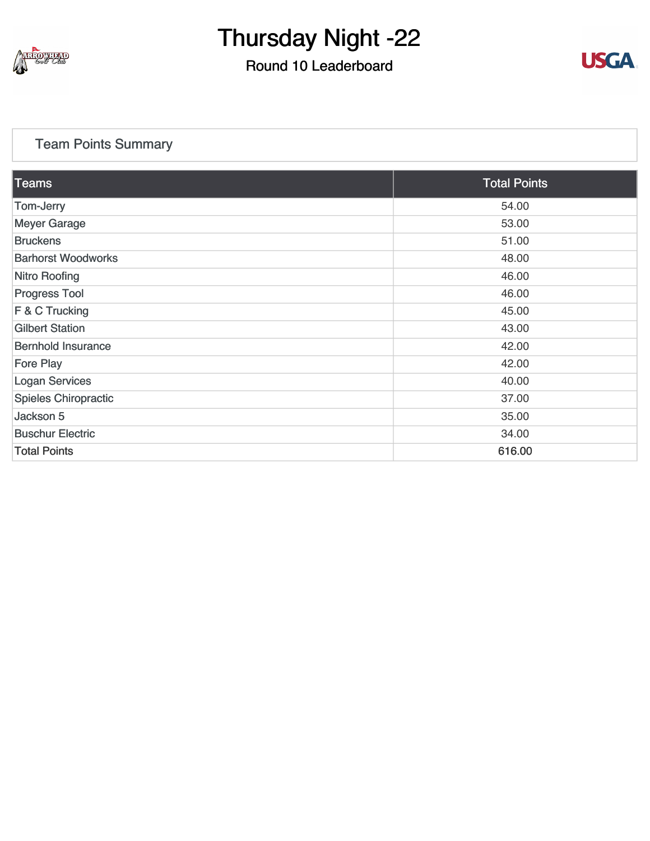

### Round 10 Leaderboard



#### [Team Points Summary](https://static.golfgenius.com/v2tournaments/team_points?league_id=8410389304542504110&round_id=8410393927537927652)

| <b>Teams</b>                | <b>Total Points</b> |
|-----------------------------|---------------------|
| Tom-Jerry                   | 54.00               |
| <b>Meyer Garage</b>         | 53.00               |
| <b>Bruckens</b>             | 51.00               |
| <b>Barhorst Woodworks</b>   | 48.00               |
| <b>Nitro Roofing</b>        | 46.00               |
| <b>Progress Tool</b>        | 46.00               |
| $F & C$ Trucking            | 45.00               |
| <b>Gilbert Station</b>      | 43.00               |
| <b>Bernhold Insurance</b>   | 42.00               |
| <b>Fore Play</b>            | 42.00               |
| <b>Logan Services</b>       | 40.00               |
| <b>Spieles Chiropractic</b> | 37.00               |
| Jackson 5                   | 35.00               |
| <b>Buschur Electric</b>     | 34.00               |
| <b>Total Points</b>         | 616.00              |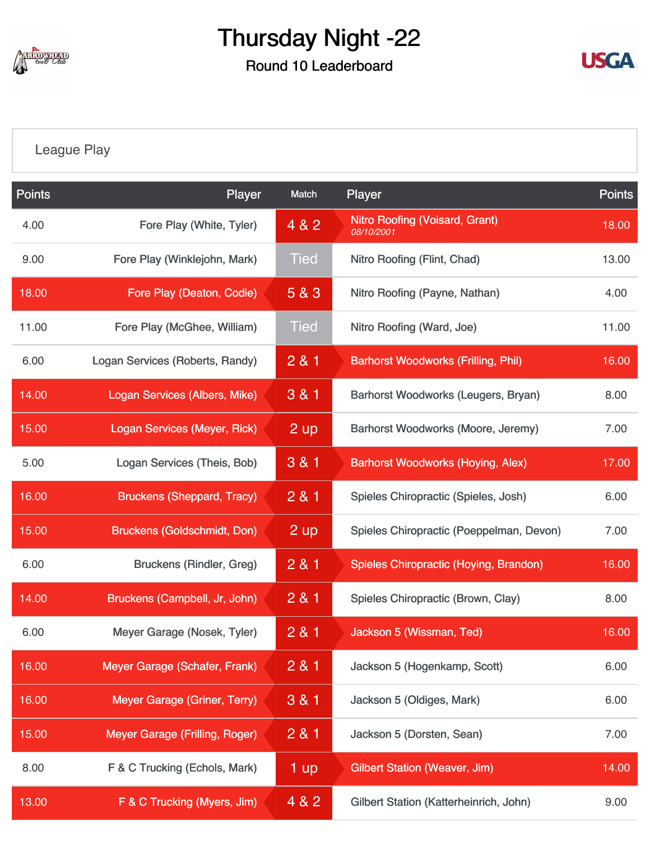

Round 10 Leaderboard



#### [League Play](https://static.golfgenius.com/v2tournaments/8410488507113416190?called_from=&round_index=10)

| <b>Points</b> | Player                              | Match           | Player                                              | <b>Points</b> |
|---------------|-------------------------------------|-----------------|-----------------------------------------------------|---------------|
| 4.00          | Fore Play (White, Tyler)            | 4 & 2           | <b>Nitro Roofing (Voisard, Grant)</b><br>08/10/2001 | 18.00         |
| 9.00          | Fore Play (Winklejohn, Mark)        | <b>Tied</b>     | Nitro Roofing (Flint, Chad)                         | 13.00         |
| 18.00         | Fore Play (Deaton, Codie)           | 5 & 3           | Nitro Roofing (Payne, Nathan)                       | 4.00          |
| 11.00         | Fore Play (McGhee, William)         | <b>Tied</b>     | Nitro Roofing (Ward, Joe)                           | 11.00         |
| 6.00          | Logan Services (Roberts, Randy)     | 2 & 1           | <b>Barhorst Woodworks (Frilling, Phil)</b>          | 16.00         |
| 14.00         | Logan Services (Albers, Mike)       | 3 & 1           | Barhorst Woodworks (Leugers, Bryan)                 | 8.00          |
| 15.00         | <b>Logan Services (Meyer, Rick)</b> | $2 \text{ up}$  | Barhorst Woodworks (Moore, Jeremy)                  | 7.00          |
| 5.00          | Logan Services (Theis, Bob)         | 3 & 1           | <b>Barhorst Woodworks (Hoying, Alex)</b>            | 17.00         |
| 16.00         | <b>Bruckens (Sheppard, Tracy)</b>   | 281             | Spieles Chiropractic (Spieles, Josh)                | 6.00          |
| 15.00         | <b>Bruckens (Goldschmidt, Don)</b>  | $2 \mathsf{up}$ | Spieles Chiropractic (Poeppelman, Devon)            | 7.00          |
| 6.00          | <b>Bruckens (Rindler, Greg)</b>     | 281             | Spieles Chiropractic (Hoying, Brandon)              | 16.00         |
| 14.00         | Bruckens (Campbell, Jr, John)       | 281             | Spieles Chiropractic (Brown, Clay)                  | 8.00          |
| 6.00          | Meyer Garage (Nosek, Tyler)         | 281             | Jackson 5 (Wissman, Ted)                            | 16.00         |
| 16.00         | Meyer Garage (Schafer, Frank)       | 281             | Jackson 5 (Hogenkamp, Scott)                        | 6.00          |
| 16.00         | Meyer Garage (Griner, Terry)        | 3 & 1           | Jackson 5 (Oldiges, Mark)                           | 6.00          |
| 15.00         | Meyer Garage (Frilling, Roger)      | 281             | Jackson 5 (Dorsten, Sean)                           | 7.00          |
| 8.00          | F & C Trucking (Echols, Mark)       | $1 \text{ up}$  | <b>Gilbert Station (Weaver, Jim)</b>                | 14.00         |
| 13.00         | F & C Trucking (Myers, Jim)         | 4 & 2           | Gilbert Station (Katterheinrich, John)              | 9.00          |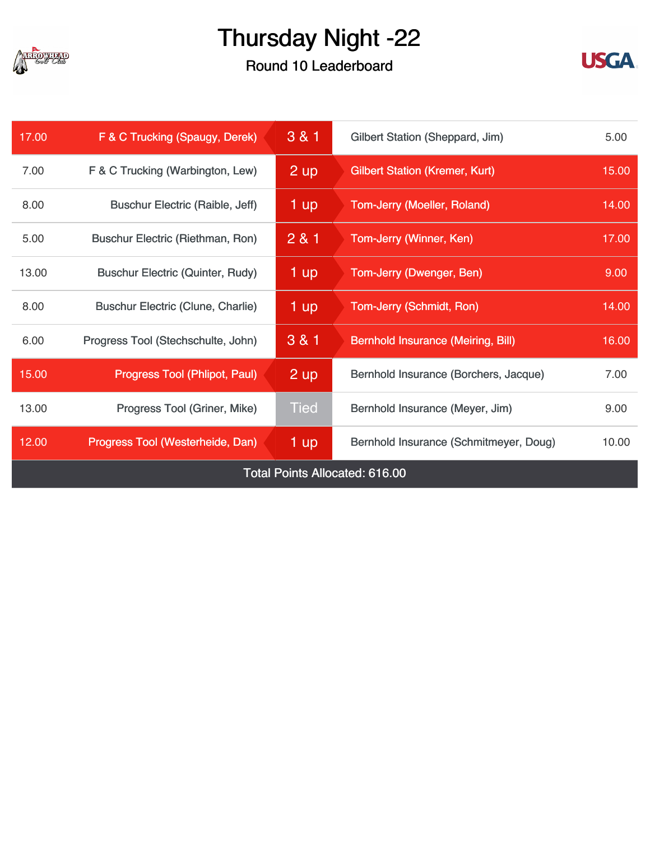

### Round 10 Leaderboard



| 17.00                                 | F & C Trucking (Spaugy, Derek)           | 3 & 1           | Gilbert Station (Sheppard, Jim)           | 5.00  |
|---------------------------------------|------------------------------------------|-----------------|-------------------------------------------|-------|
| 7.00                                  | F & C Trucking (Warbington, Lew)         | 2 up            | <b>Gilbert Station (Kremer, Kurt)</b>     | 15.00 |
| 8.00                                  | <b>Buschur Electric (Raible, Jeff)</b>   | 1 up            | <b>Tom-Jerry (Moeller, Roland)</b>        | 14.00 |
| 5.00                                  | Buschur Electric (Riethman, Ron)         | 281             | Tom-Jerry (Winner, Ken)                   | 17.00 |
| 13.00                                 | <b>Buschur Electric (Quinter, Rudy)</b>  | 1 up            | Tom-Jerry (Dwenger, Ben)                  | 9.00  |
| 8.00                                  | <b>Buschur Electric (Clune, Charlie)</b> | 1 up            | Tom-Jerry (Schmidt, Ron)                  | 14.00 |
| 6.00                                  | Progress Tool (Stechschulte, John)       | $3 & 8 & 1$     | <b>Bernhold Insurance (Meiring, Bill)</b> | 16.00 |
| 15.00                                 | Progress Tool (Phlipot, Paul)            | 2 <sub>up</sub> | Bernhold Insurance (Borchers, Jacque)     | 7.00  |
| 13.00                                 | Progress Tool (Griner, Mike)             | <b>Tied</b>     | Bernhold Insurance (Meyer, Jim)           | 9.00  |
| 12.00                                 | Progress Tool (Westerheide, Dan)         | 1 up            | Bernhold Insurance (Schmitmeyer, Doug)    | 10.00 |
| <b>Total Points Allocated: 616.00</b> |                                          |                 |                                           |       |